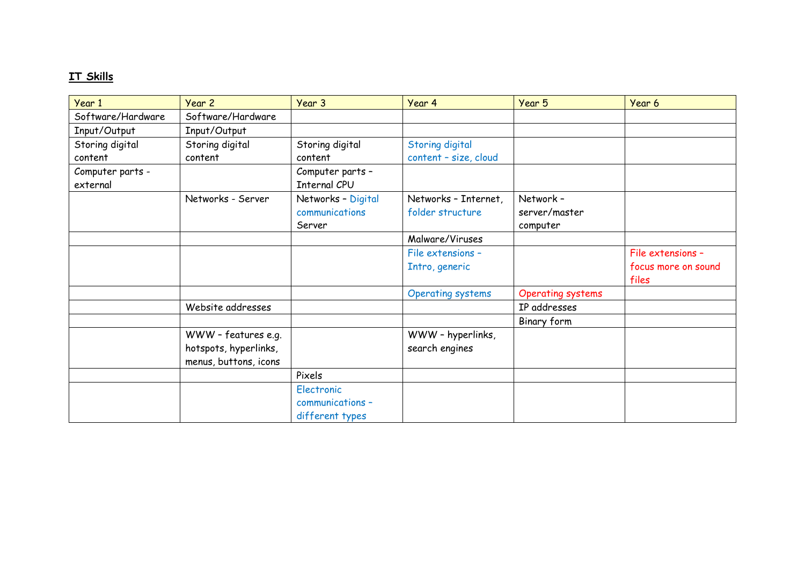## **IT Skills**

| Year 1                       | Year 2                                         | Year 3                                            | Year 4                                   | Year 5                                 | Year 6                       |
|------------------------------|------------------------------------------------|---------------------------------------------------|------------------------------------------|----------------------------------------|------------------------------|
| Software/Hardware            | Software/Hardware                              |                                                   |                                          |                                        |                              |
| Input/Output                 | Input/Output                                   |                                                   |                                          |                                        |                              |
| Storing digital              | Storing digital                                | Storing digital                                   | Storing digital                          |                                        |                              |
| content                      | content                                        | content                                           | content - size, cloud                    |                                        |                              |
| Computer parts -<br>external |                                                | Computer parts -<br><b>Internal CPU</b>           |                                          |                                        |                              |
|                              | Networks - Server                              | Networks - Digital<br>communications<br>Server    | Networks - Internet,<br>folder structure | Network -<br>server/master<br>computer |                              |
|                              |                                                |                                                   | Malware/Viruses                          |                                        |                              |
|                              |                                                |                                                   | File extensions -                        |                                        | File extensions -            |
|                              |                                                |                                                   | Intro, generic                           |                                        | focus more on sound<br>files |
|                              |                                                |                                                   | <b>Operating systems</b>                 | <b>Operating systems</b>               |                              |
|                              | Website addresses                              |                                                   |                                          | IP addresses                           |                              |
|                              |                                                |                                                   |                                          | Binary form                            |                              |
|                              | WWW - features e.g.                            |                                                   | WWW - hyperlinks,                        |                                        |                              |
|                              | hotspots, hyperlinks,<br>menus, buttons, icons |                                                   | search engines                           |                                        |                              |
|                              |                                                | Pixels                                            |                                          |                                        |                              |
|                              |                                                | Electronic<br>communications -<br>different types |                                          |                                        |                              |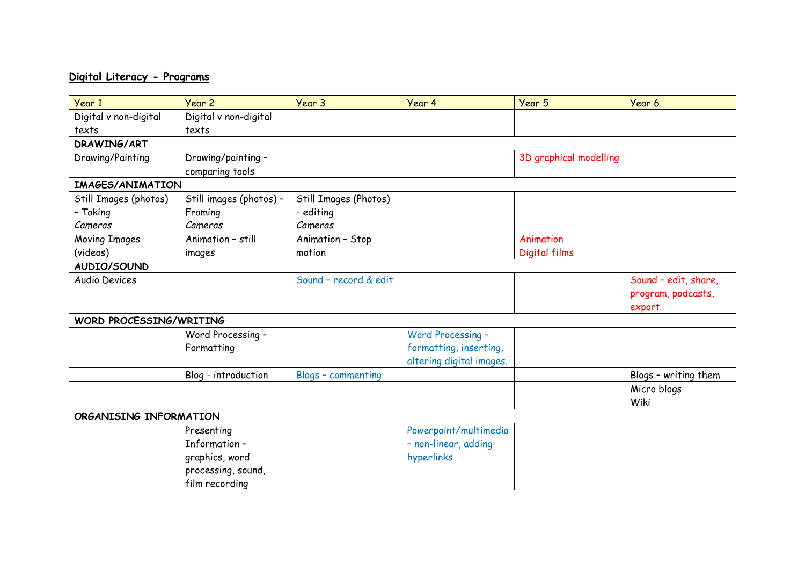## **Digital Literacy - Programs**

| Year 1                  | Year 2                  | Year 3                    | Year 4                   | Year 5                 | Year 6               |  |
|-------------------------|-------------------------|---------------------------|--------------------------|------------------------|----------------------|--|
| Digital v non-digital   | Digital v non-digital   |                           |                          |                        |                      |  |
| texts                   | texts                   |                           |                          |                        |                      |  |
| DRAWING/ART             |                         |                           |                          |                        |                      |  |
| Drawing/Painting        | Drawing/painting -      |                           |                          | 3D graphical modelling |                      |  |
|                         | comparing tools         |                           |                          |                        |                      |  |
| <b>IMAGES/ANIMATION</b> |                         |                           |                          |                        |                      |  |
| Still Images (photos)   | Still images (photos) - | Still Images (Photos)     |                          |                        |                      |  |
| - Taking                | Framing                 | - editing                 |                          |                        |                      |  |
| Cameras                 | Cameras                 | Cameras                   |                          |                        |                      |  |
| <b>Moving Images</b>    | Animation - still       | Animation - Stop          |                          | Animation              |                      |  |
| (videos)                | images                  | motion                    |                          | Digital films          |                      |  |
| AUDIO/SOUND             |                         |                           |                          |                        |                      |  |
| <b>Audio Devices</b>    |                         | Sound - record & edit     |                          |                        | Sound - edit, share, |  |
|                         |                         |                           |                          |                        | program, podcasts,   |  |
|                         |                         |                           |                          |                        | export               |  |
| WORD PROCESSING/WRITING |                         |                           |                          |                        |                      |  |
|                         | Word Processing -       |                           | Word Processing -        |                        |                      |  |
|                         | Formatting              |                           | formatting, inserting,   |                        |                      |  |
|                         |                         |                           | altering digital images. |                        |                      |  |
|                         | Blog - introduction     | <b>Blogs - commenting</b> |                          |                        | Blogs - writing them |  |
|                         |                         |                           |                          |                        | Micro blogs          |  |
|                         |                         |                           |                          |                        | Wiki                 |  |
| ORGANISING INFORMATION  |                         |                           |                          |                        |                      |  |
|                         | Presenting              |                           | Powerpoint/multimedia    |                        |                      |  |
|                         | Information-            |                           | - non-linear, adding     |                        |                      |  |
|                         | graphics, word          |                           | hyperlinks               |                        |                      |  |
|                         | processing, sound,      |                           |                          |                        |                      |  |
|                         | film recording          |                           |                          |                        |                      |  |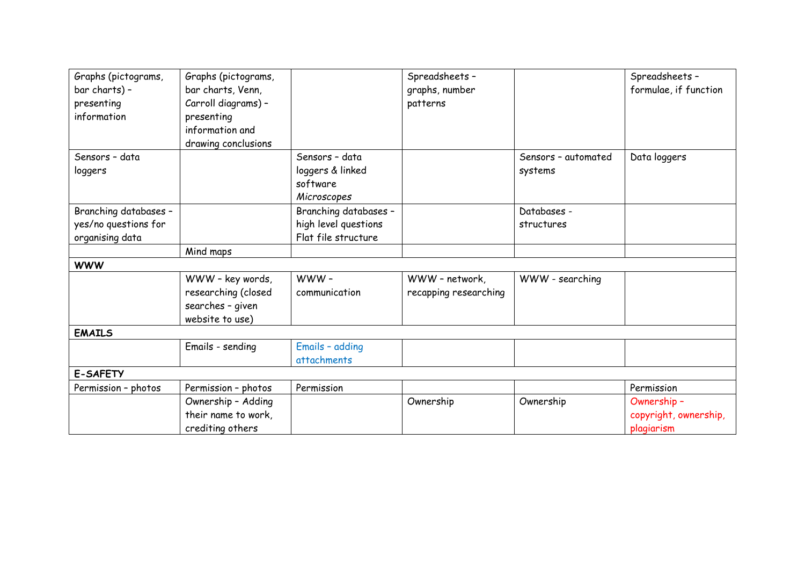| Graphs (pictograms,   | Graphs (pictograms, |                       | Spreadsheets -        |                     | Spreadsheets -        |  |  |
|-----------------------|---------------------|-----------------------|-----------------------|---------------------|-----------------------|--|--|
| bar charts) -         | bar charts, Venn,   |                       | graphs, number        |                     | formulae, if function |  |  |
| presenting            | Carroll diagrams) - |                       | patterns              |                     |                       |  |  |
| information           | presenting          |                       |                       |                     |                       |  |  |
|                       | information and     |                       |                       |                     |                       |  |  |
|                       | drawing conclusions |                       |                       |                     |                       |  |  |
| Sensors - data        |                     | Sensors - data        |                       | Sensors - automated | Data loggers          |  |  |
| loggers               |                     | loggers & linked      |                       | systems             |                       |  |  |
|                       |                     | software              |                       |                     |                       |  |  |
|                       |                     | Microscopes           |                       |                     |                       |  |  |
| Branching databases - |                     | Branching databases - |                       | Databases -         |                       |  |  |
| yes/no questions for  |                     | high level questions  |                       | structures          |                       |  |  |
| organising data       |                     | Flat file structure   |                       |                     |                       |  |  |
|                       | Mind maps           |                       |                       |                     |                       |  |  |
| <b>WWW</b>            |                     |                       |                       |                     |                       |  |  |
|                       | WWW - key words,    | WWW-                  | WWW - network,        | WWW - searching     |                       |  |  |
|                       | researching (closed | communication         | recapping researching |                     |                       |  |  |
|                       | searches - given    |                       |                       |                     |                       |  |  |
|                       | website to use)     |                       |                       |                     |                       |  |  |
| <b>EMAILS</b>         |                     |                       |                       |                     |                       |  |  |
|                       | Emails - sending    | Emails - adding       |                       |                     |                       |  |  |
|                       |                     | attachments           |                       |                     |                       |  |  |
| <b>E-SAFETY</b>       |                     |                       |                       |                     |                       |  |  |
| Permission - photos   | Permission - photos | Permission            |                       |                     | Permission            |  |  |
|                       | Ownership - Adding  |                       | Ownership             | Ownership           | Ownership -           |  |  |
|                       | their name to work, |                       |                       |                     | copyright, ownership, |  |  |
|                       | crediting others    |                       |                       |                     | plagiarism            |  |  |